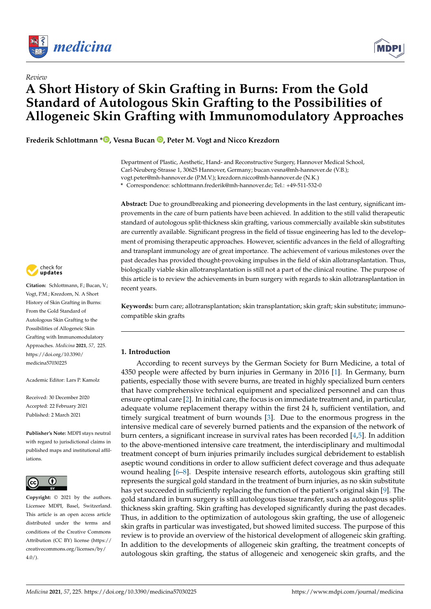

*Review*



# **A Short History of Skin Grafting in Burns: From the Gold Standard of Autologous Skin Grafting to the Possibilities of Allogeneic Skin Grafting with Immunomodulatory Approaches**

**Frederik Schlottmann \* , Vesna Bucan , Peter M. Vogt and Nicco Krezdorn**

Department of Plastic, Aesthetic, Hand- and Reconstructive Surgery, Hannover Medical School, Carl-Neuberg-Strasse 1, 30625 Hannover, Germany; bucan.vesna@mh-hannover.de (V.B.); vogt.peter@mh-hannover.de (P.M.V.); krezdorn.nicco@mh-hannover.de (N.K.) **\*** Correspondence: schlottmann.frederik@mh-hannover.de; Tel.: +49-511-532-0

**Abstract:** Due to groundbreaking and pioneering developments in the last century, significant improvements in the care of burn patients have been achieved. In addition to the still valid therapeutic standard of autologous split-thickness skin grafting, various commercially available skin substitutes are currently available. Significant progress in the field of tissue engineering has led to the development of promising therapeutic approaches. However, scientific advances in the field of allografting and transplant immunology are of great importance. The achievement of various milestones over the past decades has provided thought-provoking impulses in the field of skin allotransplantation. Thus, biologically viable skin allotransplantation is still not a part of the clinical routine. The purpose of this article is to review the achievements in burn surgery with regards to skin allotransplantation in recent years.

**Keywords:** burn care; allotransplantation; skin transplantation; skin graft; skin substitute; immunocompatible skin grafts

# **1. Introduction**

According to recent surveys by the German Society for Burn Medicine, a total of 4350 people were affected by burn injuries in Germany in 2016 [1]. In Germany, burn patients, especially those with severe burns, are treated in highly specialized burn centers that have comprehensive technical equipment and specialized personnel and can thus ensure optimal care [2]. In initial care, the focus is on immediate treatment and, in particular, adequate volume replacement therapy within the first 24 h, sufficient ventilation, and timely surgical treatment of burn wounds [3]. Due to the enormous progress in the intensive medical care of severely burned patients and the expansion of the network of burn centers, a significant increase in survival rates has been recorded [4,5]. In addition to the above-mentioned intensive care treatment, the interdisciplinary and multimodal treatment concept of burn injuries primarily includes surgical debridement to establish aseptic wound conditions in order to allow sufficient defect coverage and thus adequate wound healing [6–8]. Despite intensive research efforts, autologous skin grafting still represents the surgical gold standard in the treatment of burn injuries, as no skin substitute has yet succeeded in sufficiently replacing the function of the patient's original skin [9]. The gold standard in burn surgery is still autologous tissue transfer, such as autologous splitthickness skin grafting. Skin grafting has developed significantly during the past decades. Thus, in addition to the optimization of autologous skin grafting, the use of allogeneic skin grafts in particular was investigated, but showed limited success. The purpose of this review is to provide an overview of the historical development of allogeneic skin grafting. In addition to the developments of allogeneic skin grafting, the treatment concepts of autologous skin grafting, the status of allogeneic and xenogeneic skin grafts, and the



**Citation:** Schlottmann, F.; Bucan, V.; Vogt, P.M.; Krezdorn, N. A Short History of Skin Grafting in Burns: From the Gold Standard of Autologous Skin Grafting to the Possibilities of Allogeneic Skin Grafting with Immunomodulatory Approaches. *Medicina* **2021**, *57*, 225. https://doi.org/10.3390/ medicina57030225

Academic Editor: Lars P. Kamolz

Received: 30 December 2020 Accepted: 22 February 2021 Published: 2 March 2021

**Publisher's Note:** MDPI stays neutral with regard to jurisdictional claims in published maps and institutional affiliations.



**Copyright:** © 2021 by the authors. Licensee MDPI, Basel, Switzerland. This article is an open access article distributed under the terms and conditions of the Creative Commons Attribution (CC BY) license (https:// creativecommons.org/licenses/by/  $4.0/$ ).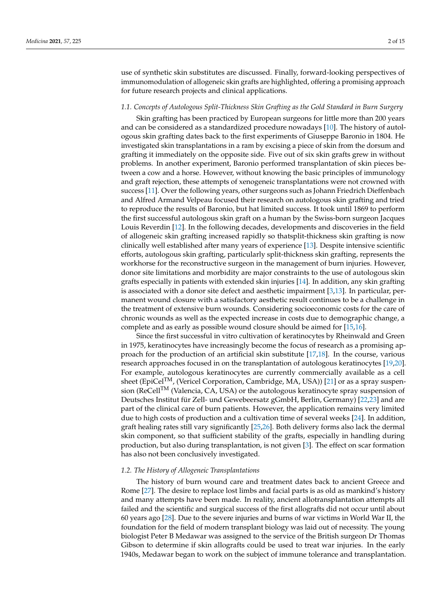use of synthetic skin substitutes are discussed. Finally, forward-looking perspectives of immunomodulation of allogeneic skin grafts are highlighted, offering a promising approach for future research projects and clinical applications.

#### *1.1. Concepts of Autologous Split-Thickness Skin Grafting as the Gold Standard in Burn Surgery*

Skin grafting has been practiced by European surgeons for little more than 200 years and can be considered as a standardized procedure nowadays [10]. The history of autologous skin grafting dates back to the first experiments of Giuseppe Baronio in 1804. He investigated skin transplantations in a ram by excising a piece of skin from the dorsum and grafting it immediately on the opposite side. Five out of six skin grafts grew in without problems. In another experiment, Baronio performed transplantation of skin pieces between a cow and a horse. However, without knowing the basic principles of immunology and graft rejection, these attempts of xenogeneic transplantations were not crowned with success [11]. Over the following years, other surgeons such as Johann Friedrich Dieffenbach and Alfred Armand Velpeau focused their research on autologous skin grafting and tried to reproduce the results of Baronio, but hat limited success. It took until 1869 to perform the first successful autologous skin graft on a human by the Swiss-born surgeon Jacques Louis Reverdin [12]. In the following decades, developments and discoveries in the field of allogeneic skin grafting increased rapidly so thatsplit-thickness skin grafting is now clinically well established after many years of experience [13]. Despite intensive scientific efforts, autologous skin grafting, particularly split-thickness skin grafting, represents the workhorse for the reconstructive surgeon in the management of burn injuries. However, donor site limitations and morbidity are major constraints to the use of autologous skin grafts especially in patients with extended skin injuries [14]. In addition, any skin grafting is associated with a donor site defect and aesthetic impairment [3,13]. In particular, permanent wound closure with a satisfactory aesthetic result continues to be a challenge in the treatment of extensive burn wounds. Considering socioeconomic costs for the care of chronic wounds as well as the expected increase in costs due to demographic change, a complete and as early as possible wound closure should be aimed for [15,16].

Since the first successful in vitro cultivation of keratinocytes by Rheinwald and Green in 1975, keratinocytes have increasingly become the focus of research as a promising approach for the production of an artificial skin substitute [17,18]. In the course, various research approaches focused in on the transplantation of autologous keratinocytes [19,20]. For example, autologous keratinocytes are currently commercially available as a cell sheet (EpiCel<sup>TM</sup>, (Vericel Corporation, Cambridge, MA, USA)) [21] or as a spray suspension (ReCellTM (Valencia, CA, USA) or the autologous keratinocyte spray suspension of Deutsches Institut für Zell- und Gewebeersatz gGmbH, Berlin, Germany) [22,23] and are part of the clinical care of burn patients. However, the application remains very limited due to high costs of production and a cultivation time of several weeks [24]. In addition, graft healing rates still vary significantly [25,26]. Both delivery forms also lack the dermal skin component, so that sufficient stability of the grafts, especially in handling during production, but also during transplantation, is not given [3]. The effect on scar formation has also not been conclusively investigated.

## *1.2. The History of Allogeneic Transplantations*

The history of burn wound care and treatment dates back to ancient Greece and Rome [27]. The desire to replace lost limbs and facial parts is as old as mankind's history and many attempts have been made. In reality, ancient allotransplantation attempts all failed and the scientific and surgical success of the first allografts did not occur until about 60 years ago [28]. Due to the severe injuries and burns of war victims in World War II, the foundation for the field of modern transplant biology was laid out of necessity. The young biologist Peter B Medawar was assigned to the service of the British surgeon Dr Thomas Gibson to determine if skin allografts could be used to treat war injuries. In the early 1940s, Medawar began to work on the subject of immune tolerance and transplantation.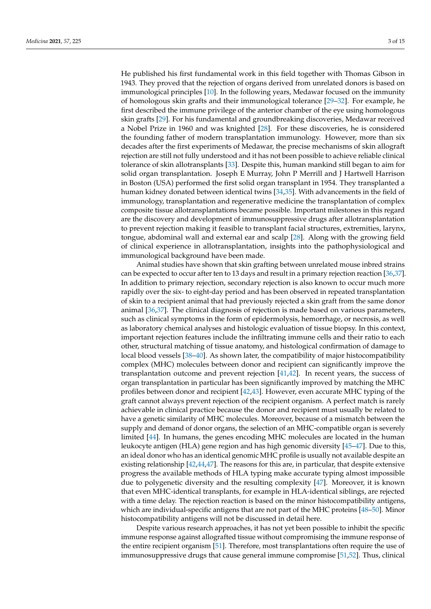He published his first fundamental work in this field together with Thomas Gibson in 1943. They proved that the rejection of organs derived from unrelated donors is based on immunological principles [10]. In the following years, Medawar focused on the immunity of homologous skin grafts and their immunological tolerance [29–32]. For example, he first described the immune privilege of the anterior chamber of the eye using homologous skin grafts [29]. For his fundamental and groundbreaking discoveries, Medawar received a Nobel Prize in 1960 and was knighted [28]. For these discoveries, he is considered the founding father of modern transplantation immunology. However, more than six decades after the first experiments of Medawar, the precise mechanisms of skin allograft rejection are still not fully understood and it has not been possible to achieve reliable clinical tolerance of skin allotransplants [33]. Despite this, human mankind still began to aim for solid organ transplantation. Joseph E Murray, John P Merrill and J Hartwell Harrison in Boston (USA) performed the first solid organ transplant in 1954. They transplanted a human kidney donated between identical twins [34,35]. With advancements in the field of immunology, transplantation and regenerative medicine the transplantation of complex composite tissue allotransplantations became possible. Important milestones in this regard are the discovery and development of immunosuppressive drugs after allotransplantation to prevent rejection making it feasible to transplant facial structures, extremities, larynx, tongue, abdominal wall and external ear and scalp [28]. Along with the growing field of clinical experience in allotransplantation, insights into the pathophysiological and immunological background have been made.

Animal studies have shown that skin grafting between unrelated mouse inbred strains can be expected to occur after ten to 13 days and result in a primary rejection reaction [36,37]. In addition to primary rejection, secondary rejection is also known to occur much more rapidly over the six- to eight-day period and has been observed in repeated transplantation of skin to a recipient animal that had previously rejected a skin graft from the same donor animal [36,37]. The clinical diagnosis of rejection is made based on various parameters, such as clinical symptoms in the form of epidermolysis, hemorrhage, or necrosis, as well as laboratory chemical analyses and histologic evaluation of tissue biopsy. In this context, important rejection features include the infiltrating immune cells and their ratio to each other, structural matching of tissue anatomy, and histological confirmation of damage to local blood vessels [38–40]. As shown later, the compatibility of major histocompatibility complex (MHC) molecules between donor and recipient can significantly improve the transplantation outcome and prevent rejection [41,42]. In recent years, the success of organ transplantation in particular has been significantly improved by matching the MHC profiles between donor and recipient [42,43]. However, even accurate MHC typing of the graft cannot always prevent rejection of the recipient organism. A perfect match is rarely achievable in clinical practice because the donor and recipient must usually be related to have a genetic similarity of MHC molecules. Moreover, because of a mismatch between the supply and demand of donor organs, the selection of an MHC-compatible organ is severely limited [44]. In humans, the genes encoding MHC molecules are located in the human leukocyte antigen (HLA) gene region and has high genomic diversity [45–47]. Due to this, an ideal donor who has an identical genomic MHC profile is usually not available despite an existing relationship  $[42,44,47]$ . The reasons for this are, in particular, that despite extensive progress the available methods of HLA typing make accurate typing almost impossible due to polygenetic diversity and the resulting complexity [47]. Moreover, it is known that even MHC-identical transplants, for example in HLA-identical siblings, are rejected with a time delay. The rejection reaction is based on the minor histocompatibility antigens, which are individual-specific antigens that are not part of the MHC proteins [48–50]. Minor histocompatibility antigens will not be discussed in detail here.

Despite various research approaches, it has not yet been possible to inhibit the specific immune response against allografted tissue without compromising the immune response of the entire recipient organism [51]. Therefore, most transplantations often require the use of immunosuppressive drugs that cause general immune compromise [51,52]. Thus, clinical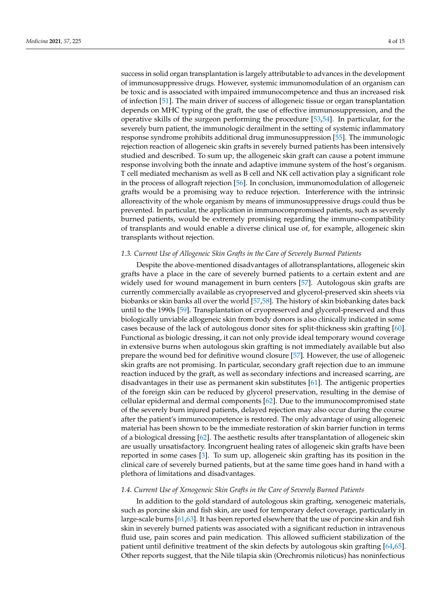success in solid organ transplantation is largely attributable to advances in the development of immunosuppressive drugs. However, systemic immunomodulation of an organism can be toxic and is associated with impaired immunocompetence and thus an increased risk of infection [51]. The main driver of success of allogeneic tissue or organ transplantation depends on MHC typing of the graft, the use of effective immunosuppression, and the operative skills of the surgeon performing the procedure [53,54]. In particular, for the severely burn patient, the immunologic derailment in the setting of systemic inflammatory response syndrome prohibits additional drug immunosuppression [55]. The immunologic rejection reaction of allogeneic skin grafts in severely burned patients has been intensively studied and described. To sum up, the allogeneic skin graft can cause a potent immune response involving both the innate and adaptive immune system of the host's organism. T cell mediated mechanism as well as B cell and NK cell activation play a significant role in the process of allograft rejection [56]. In conclusion, immunomodulation of allogeneic grafts would be a promising way to reduce rejection. Interference with the intrinsic alloreactivity of the whole organism by means of immunosuppressive drugs could thus be prevented. In particular, the application in immunocompromised patients, such as severely burned patients, would be extremely promising regarding the immuno-compatibility of transplants and would enable a diverse clinical use of, for example, allogeneic skin transplants without rejection.

#### *1.3. Current Use of Allogeneic Skin Grafts in the Care of Severely Burned Patients*

Despite the above-mentioned disadvantages of allotransplantations, allogeneic skin grafts have a place in the care of severely burned patients to a certain extent and are widely used for wound management in burn centers [57]. Autologous skin grafts are currently commercially available as cryopreserved and glycerol-preserved skin sheets via biobanks or skin banks all over the world [57,58]. The history of skin biobanking dates back until to the 1990s [59]. Transplantation of cryopreserved and glycerol-preserved and thus biologically unviable allogeneic skin from body donors is also clinically indicated in some cases because of the lack of autologous donor sites for split-thickness skin grafting [60]. Functional as biologic dressing, it can not only provide ideal temporary wound coverage in extensive burns when autologous skin grafting is not immediately available but also prepare the wound bed for definitive wound closure [57]. However, the use of allogeneic skin grafts are not promising. In particular, secondary graft rejection due to an immune reaction induced by the graft, as well as secondary infections and increased scarring, are disadvantages in their use as permanent skin substitutes [61]. The antigenic properties of the foreign skin can be reduced by glycerol preservation, resulting in the demise of cellular epidermal and dermal components [62]. Due to the immunocompromised state of the severely burn injured patients, delayed rejection may also occur during the course after the patient's immunocompetence is restored. The only advantage of using allogeneic material has been shown to be the immediate restoration of skin barrier function in terms of a biological dressing [62]. The aesthetic results after transplantation of allogeneic skin are usually unsatisfactory. Incongruent healing rates of allogeneic skin grafts have been reported in some cases [3]. To sum up, allogeneic skin grafting has its position in the clinical care of severely burned patients, but at the same time goes hand in hand with a plethora of limitations and disadvantages.

#### *1.4. Current Use of Xenogeneic Skin Grafts in the Care of Severely Burned Patients*

In addition to the gold standard of autologous skin grafting, xenogeneic materials, such as porcine skin and fish skin, are used for temporary defect coverage, particularly in large-scale burns [61,63]. It has been reported elsewhere that the use of porcine skin and fish skin in severely burned patients was associated with a significant reduction in intravenous fluid use, pain scores and pain medication. This allowed sufficient stabilization of the patient until definitive treatment of the skin defects by autologous skin grafting [64,65]. Other reports suggest, that the Nile tilapia skin (Orechromis niloticus) has noninfectious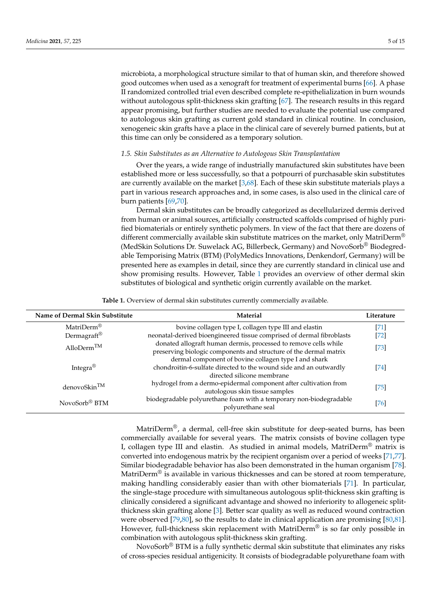microbiota, a morphological structure similar to that of human skin, and therefore showed good outcomes when used as a xenograft for treatment of experimental burns [66]. A phase II randomized controlled trial even described complete re-epithelialization in burn wounds without autologous split-thickness skin grafting [67]. The research results in this regard appear promising, but further studies are needed to evaluate the potential use compared to autologous skin grafting as current gold standard in clinical routine. In conclusion, xenogeneic skin grafts have a place in the clinical care of severely burned patients, but at this time can only be considered as a temporary solution.

## *1.5. Skin Substitutes as an Alternative to Autologous Skin Transplantation*

Over the years, a wide range of industrially manufactured skin substitutes have been established more or less successfully, so that a potpourri of purchasable skin substitutes are currently available on the market [3,68]. Each of these skin substitute materials plays a part in various research approaches and, in some cases, is also used in the clinical care of burn patients [69,70].

Dermal skin substitutes can be broadly categorized as decellularized dermis derived from human or animal sources, artificially constructed scaffolds comprised of highly purified biomaterials or entirely synthetic polymers. In view of the fact that there are dozens of different commercially available skin substitute matrices on the market, only MatriDerm<sup>®</sup> (MedSkin Solutions Dr. Suwelack AG, Billerbeck, Germany) and NovoSorb® Biodegredable Temporising Matrix (BTM) (PolyMedics Innovations, Denkendorf, Germany) will be presented here as examples in detail, since they are currently standard in clinical use and show promising results. However, Table 1 provides an overview of other dermal skin substitutes of biological and synthetic origin currently available on the market.

**Table 1.** Overview of dermal skin substitutes currently commercially available.

| Name of Dermal Skin Substitute | <b>Material</b>                                                                                                                                         | Literature |
|--------------------------------|---------------------------------------------------------------------------------------------------------------------------------------------------------|------------|
| MatriDerm <sup>®</sup>         | bovine collagen type I, collagen type III and elastin                                                                                                   | $[71]$     |
| Dermagraft®                    | neonatal-derived bioengineered tissue comprised of dermal fibroblasts                                                                                   | $[72]$     |
| AlloDerm <sup>TM</sup>         | donated allograft human dermis, processed to remove cells while<br>preserving biologic components and structure of the dermal matrix                    | $[73]$     |
| Integra <sup>®</sup>           | dermal component of bovine collagen type I and shark<br>chondroitin-6-sulfate directed to the wound side and an outwardly<br>directed silicone membrane | [74]       |
| denovoSkin <sup>TM</sup>       | hydrogel from a dermo-epidermal component after cultivation from<br>autologous skin tissue samples                                                      | $[75]$     |
| NovoSorb <sup>®</sup> BTM      | biodegradable polyurethane foam with a temporary non-biodegradable<br>polyurethane seal                                                                 | [76]       |

MatriDerm®, a dermal, cell-free skin substitute for deep-seated burns, has been commercially available for several years. The matrix consists of bovine collagen type I, collagen type III and elastin. As studied in animal models, MatriDerm® matrix is converted into endogenous matrix by the recipient organism over a period of weeks [71,77]. Similar biodegradable behavior has also been demonstrated in the human organism [78]. MatriDerm<sup>®</sup> is available in various thicknesses and can be stored at room temperature, making handling considerably easier than with other biomaterials [71]. In particular, the single-stage procedure with simultaneous autologous split-thickness skin grafting is clinically considered a significant advantage and showed no inferiority to allogeneic splitthickness skin grafting alone [3]. Better scar quality as well as reduced wound contraction were observed [79,80], so the results to date in clinical application are promising [80,81]. However, full-thickness skin replacement with MatriDerm® is so far only possible in combination with autologous split-thickness skin grafting.

NovoSorb® BTM is a fully synthetic dermal skin substitute that eliminates any risks of cross-species residual antigenicity. It consists of biodegradable polyurethane foam with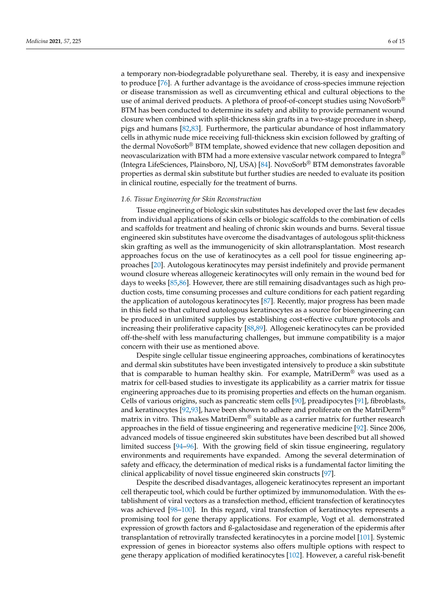a temporary non-biodegradable polyurethane seal. Thereby, it is easy and inexpensive to produce [76]. A further advantage is the avoidance of cross-species immune rejection or disease transmission as well as circumventing ethical and cultural objections to the use of animal derived products. A plethora of proof-of-concept studies using NovoSorb<sup>®</sup> BTM has been conducted to determine its safety and ability to provide permanent wound closure when combined with split-thickness skin grafts in a two-stage procedure in sheep, pigs and humans [82,83]. Furthermore, the particular abundance of host inflammatory cells in athymic nude mice receiving full-thickness skin excision followed by grafting of the dermal NovoSorb® BTM template, showed evidence that new collagen deposition and neovascularization with BTM had a more extensive vascular network compared to Integra<sup>®</sup> (Integra LifeSciences, Plainsboro, NJ, USA) [84]. NovoSorb® BTM demonstrates favorable properties as dermal skin substitute but further studies are needed to evaluate its position in clinical routine, especially for the treatment of burns.

# *1.6. Tissue Engineering for Skin Reconstruction*

Tissue engineering of biologic skin substitutes has developed over the last few decades from individual applications of skin cells or biologic scaffolds to the combination of cells and scaffolds for treatment and healing of chronic skin wounds and burns. Several tissue engineered skin substitutes have overcome the disadvantages of autologous split-thickness skin grafting as well as the immunogenicity of skin allotransplantation. Most research approaches focus on the use of keratinocytes as a cell pool for tissue engineering approaches [20]. Autologous keratinocytes may persist indefinitely and provide permanent wound closure whereas allogeneic keratinocytes will only remain in the wound bed for days to weeks [85,86]. However, there are still remaining disadvantages such as high production costs, time consuming processes and culture conditions for each patient regarding the application of autologous keratinocytes [87]. Recently, major progress has been made in this field so that cultured autologous keratinocytes as a source for bioengineering can be produced in unlimited supplies by establishing cost-effective culture protocols and increasing their proliferative capacity [88,89]. Allogeneic keratinocytes can be provided off-the-shelf with less manufacturing challenges, but immune compatibility is a major concern with their use as mentioned above.

Despite single cellular tissue engineering approaches, combinations of keratinocytes and dermal skin substitutes have been investigated intensively to produce a skin substitute that is comparable to human healthy skin. For example, MatriDerm<sup>®</sup> was used as a matrix for cell-based studies to investigate its applicability as a carrier matrix for tissue engineering approaches due to its promising properties and effects on the human organism. Cells of various origins, such as pancreatic stem cells [90], preadipocytes [91], fibroblasts, and keratinocytes [92,93], have been shown to adhere and proliferate on the MatriDerm<sup>®</sup> matrix in vitro. This makes MatriDerm® suitable as a carrier matrix for further research approaches in the field of tissue engineering and regenerative medicine [92]. Since 2006, advanced models of tissue engineered skin substitutes have been described but all showed limited success [94–96]. With the growing field of skin tissue engineering, regulatory environments and requirements have expanded. Among the several determination of safety and efficacy, the determination of medical risks is a fundamental factor limiting the clinical applicability of novel tissue engineered skin constructs [97].

Despite the described disadvantages, allogeneic keratinocytes represent an important cell therapeutic tool, which could be further optimized by immunomodulation. With the establishment of viral vectors as a transfection method, efficient transfection of keratinocytes was achieved [98–100]. In this regard, viral transfection of keratinocytes represents a promising tool for gene therapy applications. For example, Vogt et al. demonstrated expression of growth factors and ß-galactosidase and regeneration of the epidermis after transplantation of retrovirally transfected keratinocytes in a porcine model [101]. Systemic expression of genes in bioreactor systems also offers multiple options with respect to gene therapy application of modified keratinocytes [102]. However, a careful risk-benefit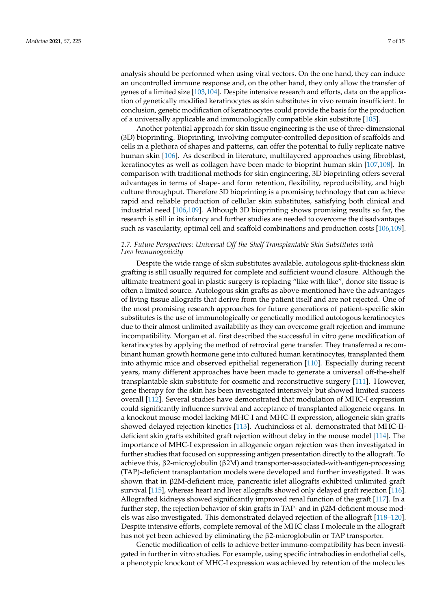analysis should be performed when using viral vectors. On the one hand, they can induce an uncontrolled immune response and, on the other hand, they only allow the transfer of genes of a limited size [103,104]. Despite intensive research and efforts, data on the application of genetically modified keratinocytes as skin substitutes in vivo remain insufficient. In conclusion, genetic modification of keratinocytes could provide the basis for the production of a universally applicable and immunologically compatible skin substitute [105].

Another potential approach for skin tissue engineering is the use of three-dimensional (3D) bioprinting. Bioprinting, involving computer-controlled deposition of scaffolds and cells in a plethora of shapes and patterns, can offer the potential to fully replicate native human skin [106]. As described in literature, multilayered approaches using fibroblast, keratinocytes as well as collagen have been made to bioprint human skin [107,108]. In comparison with traditional methods for skin engineering, 3D bioprinting offers several advantages in terms of shape- and form retention, flexibility, reproducibility, and high culture throughput. Therefore 3D bioprinting is a promising technology that can achieve rapid and reliable production of cellular skin substitutes, satisfying both clinical and industrial need [106,109]. Although 3D bioprinting shows promising results so far, the research is still in its infancy and further studies are needed to overcome the disadvantages such as vascularity, optimal cell and scaffold combinations and production costs [106,109].

# *1.7. Future Perspectives: Universal Off-the-Shelf Transplantable Skin Substitutes with Low Immunogenicity*

Despite the wide range of skin substitutes available, autologous split-thickness skin grafting is still usually required for complete and sufficient wound closure. Although the ultimate treatment goal in plastic surgery is replacing "like with like", donor site tissue is often a limited source. Autologous skin grafts as above-mentioned have the advantages of living tissue allografts that derive from the patient itself and are not rejected. One of the most promising research approaches for future generations of patient-specific skin substitutes is the use of immunologically or genetically modified autologous keratinocytes due to their almost unlimited availability as they can overcome graft rejection and immune incompatibility. Morgan et al. first described the successful in vitro gene modification of keratinocytes by applying the method of retroviral gene transfer. They transferred a recombinant human growth hormone gene into cultured human keratinocytes, transplanted them into athymic mice and observed epithelial regeneration [110]. Especially during recent years, many different approaches have been made to generate a universal off-the-shelf transplantable skin substitute for cosmetic and reconstructive surgery [111]. However, gene therapy for the skin has been investigated intensively but showed limited success overall [112]. Several studies have demonstrated that modulation of MHC-I expression could significantly influence survival and acceptance of transplanted allogeneic organs. In a knockout mouse model lacking MHC-I and MHC-II expression, allogeneic skin grafts showed delayed rejection kinetics [113]. Auchincloss et al. demonstrated that MHC-IIdeficient skin grafts exhibited graft rejection without delay in the mouse model [114]. The importance of MHC-I expression in allogeneic organ rejection was then investigated in further studies that focused on suppressing antigen presentation directly to the allograft. To achieve this, β2-microglobulin (β2M) and transporter-associated-with-antigen-processing (TAP)-deficient transplantation models were developed and further investigated. It was shown that in β2M-deficient mice, pancreatic islet allografts exhibited unlimited graft survival [115], whereas heart and liver allografts showed only delayed graft rejection [116]. Allografted kidneys showed significantly improved renal function of the graft [117]. In a further step, the rejection behavior of skin grafts in TAP- and in β2M-deficient mouse models was also investigated. This demonstrated delayed rejection of the allograft [118–120]. Despite intensive efforts, complete removal of the MHC class I molecule in the allograft has not yet been achieved by eliminating the β2-microglobulin or TAP transporter.

Genetic modification of cells to achieve better immuno-compatibility has been investigated in further in vitro studies. For example, using specific intrabodies in endothelial cells, a phenotypic knockout of MHC-I expression was achieved by retention of the molecules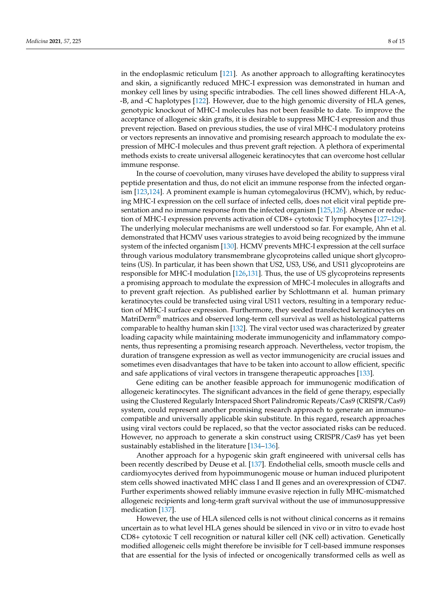in the endoplasmic reticulum [121]. As another approach to allografting keratinocytes and skin, a significantly reduced MHC-I expression was demonstrated in human and monkey cell lines by using specific intrabodies. The cell lines showed different HLA-A, -B, and -C haplotypes [122]. However, due to the high genomic diversity of HLA genes, genotypic knockout of MHC-I molecules has not been feasible to date. To improve the acceptance of allogeneic skin grafts, it is desirable to suppress MHC-I expression and thus prevent rejection. Based on previous studies, the use of viral MHC-I modulatory proteins or vectors represents an innovative and promising research approach to modulate the expression of MHC-I molecules and thus prevent graft rejection. A plethora of experimental methods exists to create universal allogeneic keratinocytes that can overcome host cellular immune response.

In the course of coevolution, many viruses have developed the ability to suppress viral peptide presentation and thus, do not elicit an immune response from the infected organism [123,124]. A prominent example is human cytomegalovirus (HCMV), which, by reducing MHC-I expression on the cell surface of infected cells, does not elicit viral peptide presentation and no immune response from the infected organism [125,126]. Absence or reduction of MHC-I expression prevents activation of CD8+ cytotoxic T lymphocytes [127–129]. The underlying molecular mechanisms are well understood so far. For example, Ahn et al. demonstrated that HCMV uses various strategies to avoid being recognized by the immune system of the infected organism [130]. HCMV prevents MHC-I expression at the cell surface through various modulatory transmembrane glycoproteins called unique short glycoproteins (US). In particular, it has been shown that US2, US3, US6, and US11 glycoproteins are responsible for MHC-I modulation [126,131]. Thus, the use of US glycoproteins represents a promising approach to modulate the expression of MHC-I molecules in allografts and to prevent graft rejection. As published earlier by Schlottmann et al. human primary keratinocytes could be transfected using viral US11 vectors, resulting in a temporary reduction of MHC-I surface expression. Furthermore, they seeded transfected keratinocytes on MatriDerm® matrices and observed long-term cell survival as well as histological patterns comparable to healthy human skin [132]. The viral vector used was characterized by greater loading capacity while maintaining moderate immunogenicity and inflammatory components, thus representing a promising research approach. Nevertheless, vector tropism, the duration of transgene expression as well as vector immunogenicity are crucial issues and sometimes even disadvantages that have to be taken into account to allow efficient, specific and safe applications of viral vectors in transgene therapeutic approaches [133].

Gene editing can be another feasible approach for immunogenic modification of allogeneic keratinocytes. The significant advances in the field of gene therapy, especially using the Clustered Regularly Interspaced Short Palindromic Repeats/Cas9 (CRISPR/Cas9) system, could represent another promising research approach to generate an immunocompatible and universally applicable skin substitute. In this regard, research approaches using viral vectors could be replaced, so that the vector associated risks can be reduced. However, no approach to generate a skin construct using CRISPR/Cas9 has yet been sustainably established in the literature [134–136].

Another approach for a hypogenic skin graft engineered with universal cells has been recently described by Deuse et al. [137]. Endothelial cells, smooth muscle cells and cardiomyocytes derived from hypoimmunogenic mouse or human induced pluripotent stem cells showed inactivated MHC class I and II genes and an overexpression of CD47. Further experiments showed reliably immune evasive rejection in fully MHC-mismatched allogeneic recipients and long-term graft survival without the use of immunosuppressive medication [137].

However, the use of HLA silenced cells is not without clinical concerns as it remains uncertain as to what level HLA genes should be silenced in vivo or in vitro to evade host CD8+ cytotoxic T cell recognition or natural killer cell (NK cell) activation. Genetically modified allogeneic cells might therefore be invisible for T cell-based immune responses that are essential for the lysis of infected or oncogenically transformed cells as well as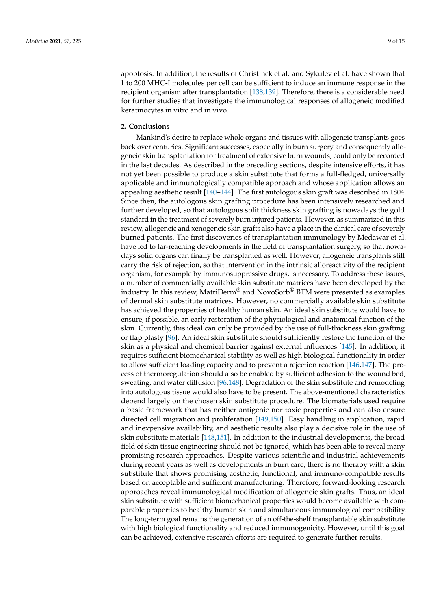apoptosis. In addition, the results of Christinck et al. and Sykulev et al. have shown that 1 to 200 MHC-I molecules per cell can be sufficient to induce an immune response in the recipient organism after transplantation [138,139]. Therefore, there is a considerable need for further studies that investigate the immunological responses of allogeneic modified keratinocytes in vitro and in vivo.

# **2. Conclusions**

Mankind's desire to replace whole organs and tissues with allogeneic transplants goes back over centuries. Significant successes, especially in burn surgery and consequently allogeneic skin transplantation for treatment of extensive burn wounds, could only be recorded in the last decades. As described in the preceding sections, despite intensive efforts, it has not yet been possible to produce a skin substitute that forms a full-fledged, universally applicable and immunologically compatible approach and whose application allows an appealing aesthetic result [140–144]. The first autologous skin graft was described in 1804. Since then, the autologous skin grafting procedure has been intensively researched and further developed, so that autologous split thickness skin grafting is nowadays the gold standard in the treatment of severely burn injured patients. However, as summarized in this review, allogeneic and xenogeneic skin grafts also have a place in the clinical care of severely burned patients. The first discoveries of transplantation immunology by Medawar et al. have led to far-reaching developments in the field of transplantation surgery, so that nowadays solid organs can finally be transplanted as well. However, allogeneic transplants still carry the risk of rejection, so that intervention in the intrinsic alloreactivity of the recipient organism, for example by immunosuppressive drugs, is necessary. To address these issues, a number of commercially available skin substitute matrices have been developed by the industry. In this review, MatriDerm® and NovoSorb® BTM were presented as examples of dermal skin substitute matrices. However, no commercially available skin substitute has achieved the properties of healthy human skin. An ideal skin substitute would have to ensure, if possible, an early restoration of the physiological and anatomical function of the skin. Currently, this ideal can only be provided by the use of full-thickness skin grafting or flap plasty [96]. An ideal skin substitute should sufficiently restore the function of the skin as a physical and chemical barrier against external influences [145]. In addition, it requires sufficient biomechanical stability as well as high biological functionality in order to allow sufficient loading capacity and to prevent a rejection reaction [146,147]. The process of thermoregulation should also be enabled by sufficient adhesion to the wound bed, sweating, and water diffusion [96,148]. Degradation of the skin substitute and remodeling into autologous tissue would also have to be present. The above-mentioned characteristics depend largely on the chosen skin substitute procedure. The biomaterials used require a basic framework that has neither antigenic nor toxic properties and can also ensure directed cell migration and proliferation [149,150]. Easy handling in application, rapid and inexpensive availability, and aesthetic results also play a decisive role in the use of skin substitute materials [148,151]. In addition to the industrial developments, the broad field of skin tissue engineering should not be ignored, which has been able to reveal many promising research approaches. Despite various scientific and industrial achievements during recent years as well as developments in burn care, there is no therapy with a skin substitute that shows promising aesthetic, functional, and immuno-compatible results based on acceptable and sufficient manufacturing. Therefore, forward-looking research approaches reveal immunological modification of allogeneic skin grafts. Thus, an ideal skin substitute with sufficient biomechanical properties would become available with comparable properties to healthy human skin and simultaneous immunological compatibility. The long-term goal remains the generation of an off-the-shelf transplantable skin substitute with high biological functionality and reduced immunogenicity. However, until this goal can be achieved, extensive research efforts are required to generate further results.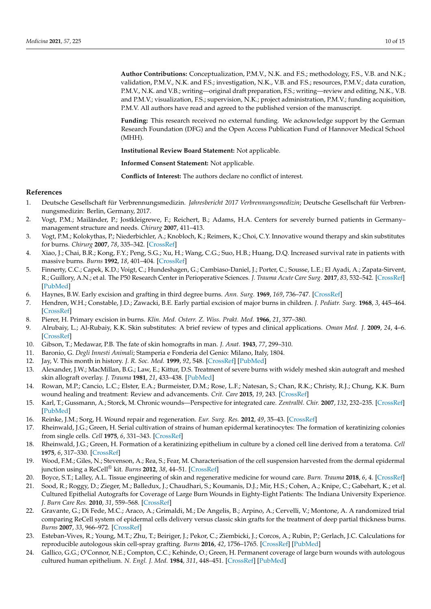**Author Contributions:** Conceptualization, P.M.V., N.K. and F.S.; methodology, F.S., V.B. and N.K.; validation, P.M.V., N.K. and F.S.; investigation, N.K., V.B. and F.S.; resources, P.M.V.; data curation, P.M.V., N.K. and V.B.; writing—original draft preparation, F.S.; writing—review and editing, N.K., V.B. and P.M.V.; visualization, F.S.; supervision, N.K.; project administration, P.M.V.; funding acquisition, P.M.V. All authors have read and agreed to the published version of the manuscript.

**Funding:** This research received no external funding. We acknowledge support by the German Research Foundation (DFG) and the Open Access Publication Fund of Hannover Medical School (MHH).

**Institutional Review Board Statement:** Not applicable.

**Informed Consent Statement:** Not applicable.

**Conflicts of Interest:** The authors declare no conflict of interest.

#### **References**

- 1. Deutsche Gesellschaft für Verbrennungsmedizin. *Jahresbericht 2017 Verbrennungsmedizin*; Deutsche Gesellschaft für Verbrennungsmedizin: Berlin, Germany, 2017.
- 2. Vogt, P.M.; Mailänder, P.; Jostkleigrewe, F.; Reichert, B.; Adams, H.A. Centers for severely burned patients in Germany– management structure and needs. *Chirurg* **2007**, 411–413.
- 3. Vogt, P.M.; Kolokythas, P.; Niederbichler, A.; Knobloch, K.; Reimers, K.; Choi, C.Y. Innovative wound therapy and skin substitutes for burns. *Chirurg* **2007**, *78*, 335–342. [CrossRef]
- 4. Xiao, J.; Chai, B.R.; Kong, F.Y.; Peng, S.G.; Xu, H.; Wang, C.G.; Suo, H.B.; Huang, D.Q. Increased survival rate in patients with massive burns. *Burns* **1992**, *18*, 401–404. [CrossRef]
- 5. Finnerty, C.C.; Capek, K.D.; Voigt, C.; Hundeshagen, G.; Cambiaso-Daniel, J.; Porter, C.; Sousse, L.E.; El Ayadi, A.; Zapata-Sirvent, R.; Guillory, A.N.; et al. The P50 Research Center in Perioperative Sciences. *J. Trauma Acute Care Surg.* **2017**, *83*, 532–542. [CrossRef] [PubMed]
- 6. Haynes, B.W. Early excision and grafting in third degree burns. *Ann. Surg.* **1969**, *169*, 736–747. [CrossRef]
- 7. Hendren, W.H.; Constable, J.D.; Zawacki, B.E. Early partial excision of major burns in children. *J. Pediatr. Surg.* **1968**, *3*, 445–464. [CrossRef]
- 8. Pierer, H. Primary excision in burns. *Klin. Med. Osterr. Z. Wiss. Prakt. Med.* **1966**, *21*, 377–380.
- 9. Alrubaiy, L.; Al-Rubaiy, K.K. Skin substitutes: A brief review of types and clinical applications. *Oman Med. J.* **2009**, *24*, 4–6. [CrossRef]
- 10. Gibson, T.; Medawar, P.B. The fate of skin homografts in man. *J. Anat.* **1943**, *77*, 299–310.
- 11. Baronio, G. *Degli Innesti Animali*; Stamperia e Fonderia del Genio: Milano, Italy, 1804.
- 12. Jay, V. This month in history. *J. R. Soc. Med.* **1999**, *92*, 548. [CrossRef] [PubMed]
- 13. Alexander, J.W.; MacMillan, B.G.; Law, E.; Kittur, D.S. Treatment of severe burns with widely meshed skin autograft and meshed skin allograft overlay. *J. Trauma* **1981**, *21*, 433–438. [PubMed]
- 14. Rowan, M.P.; Cancio, L.C.; Elster, E.A.; Burmeister, D.M.; Rose, L.F.; Natesan, S.; Chan, R.K.; Christy, R.J.; Chung, K.K. Burn wound healing and treatment: Review and advancements. *Crit. Care* **2015**, *19*, 243. [CrossRef]
- 15. Karl, T.; Gussmann, A.; Storck, M. Chronic wounds—Perspective for integrated care. *Zentralbl. Chir.* **2007**, *132*, 232–235. [CrossRef] [PubMed]
- 16. Reinke, J.M.; Sorg, H. Wound repair and regeneration. *Eur. Surg. Res.* **2012**, *49*, 35–43. [CrossRef]
- 17. Rheinwald, J.G.; Green, H. Serial cultivation of strains of human epidermal keratinocytes: The formation of keratinizing colonies from single cells. *Cell* **1975**, *6*, 331–343. [CrossRef]
- 18. Rheinwald, J.G.; Green, H. Formation of a keratinizing epithelium in culture by a cloned cell line derived from a teratoma. *Cell* **1975**, *6*, 317–330. [CrossRef]
- 19. Wood, F.M.; Giles, N.; Stevenson, A.; Rea, S.; Fear, M. Characterisation of the cell suspension harvested from the dermal epidermal junction using a ReCell® kit. *Burns* **2012**, *38*, 44–51. [CrossRef]
- 20. Boyce, S.T.; Lalley, A.L. Tissue engineering of skin and regenerative medicine for wound care. *Burn. Trauma* **2018**, *6*, 4. [CrossRef]
- 21. Sood, R.; Roggy, D.; Zieger, M.; Balledux, J.; Chaudhari, S.; Koumanis, D.J.; Mir, H.S.; Cohen, A.; Knipe, C.; Gabehart, K.; et al. Cultured Epithelial Autografts for Coverage of Large Burn Wounds in Eighty-Eight Patients: The Indiana University Experience. *J. Burn Care Res.* **2010**, *31*, 559–568. [CrossRef]
- 22. Gravante, G.; Di Fede, M.C.; Araco, A.; Grimaldi, M.; De Angelis, B.; Arpino, A.; Cervelli, V.; Montone, A. A randomized trial comparing ReCell system of epidermal cells delivery versus classic skin grafts for the treatment of deep partial thickness burns. *Burns* **2007**, *33*, 966–972. [CrossRef]
- 23. Esteban-Vives, R.; Young, M.T.; Zhu, T.; Beiriger, J.; Pekor, C.; Ziembicki, J.; Corcos, A.; Rubin, P.; Gerlach, J.C. Calculations for reproducible autologous skin cell-spray grafting. *Burns* **2016**, *42*, 1756–1765. [CrossRef] [PubMed]
- 24. Gallico, G.G.; O'Connor, N.E.; Compton, C.C.; Kehinde, O.; Green, H. Permanent coverage of large burn wounds with autologous cultured human epithelium. *N. Engl. J. Med.* **1984**, *311*, 448–451. [CrossRef] [PubMed]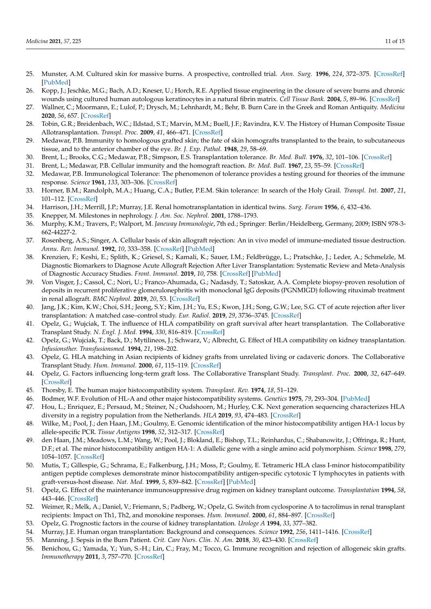- 25. Munster, A.M. Cultured skin for massive burns. A prospective, controlled trial. *Ann. Surg.* **1996**, *224*, 372–375. [CrossRef] [PubMed]
- 26. Kopp, J.; Jeschke, M.G.; Bach, A.D.; Kneser, U.; Horch, R.E. Applied tissue engineering in the closure of severe burns and chronic wounds using cultured human autologous keratinocytes in a natural fibrin matrix. *Cell Tissue Bank.* **2004**, *5*, 89–96. [CrossRef]
- 27. Wallner, C.; Moormann, E.; Lulof, P.; Drysch, M.; Lehnhardt, M.; Behr, B. Burn Care in the Greek and Roman Antiquity. *Medicina* **2020**, *56*, 657. [CrossRef]
- 28. Tobin, G.R.; Breidenbach, W.C.; Ildstad, S.T.; Marvin, M.M.; Buell, J.F.; Ravindra, K.V. The History of Human Composite Tissue Allotransplantation. *Transpl. Proc.* **2009**, *41*, 466–471. [CrossRef]
- 29. Medawar, P.B. Immunity to homologous grafted skin; the fate of skin homografts transplanted to the brain, to subcutaneous tissue, and to the anterior chamber of the eye. *Br. J. Exp. Pathol.* **1948**, *29*, 58–69.
- 30. Brent, L.; Brooks, C.G.; Medawar, P.B.; Simpson, E.S. Transplantation tolerance. *Br. Med. Bull.* **1976**, *32*, 101–106. [CrossRef]
- 31. Brent, L.; Medawar, P.B. Cellular immunity and the homograft reaction. *Br. Med. Bull.* **1967**, *23*, 55–59. [CrossRef]
- 32. Medawar, P.B. Immunological Tolerance: The phenomenon of tolerance provides a testing ground for theories of the immune response. *Science* **1961**, *133*, 303–306. [CrossRef]
- 33. Horner, B.M.; Randolph, M.A.; Huang, C.A.; Butler, P.E.M. Skin tolerance: In search of the Holy Grail. *Transpl. Int.* **2007**, *21*, 101–112. [CrossRef]
- 34. Harrison, J.H.; Merrill, J.P.; Murray, J.E. Renal homotransplantation in identical twins. *Surg. Forum* **1956**, *6*, 432–436.
- 35. Knepper, M. Milestones in nephrology. *J. Am. Soc. Nephrol.* **2001**, 1788–1793.
- 36. Murphy, K.M.; Travers, P.; Walport, M. *Janeway Immunologie*, 7th ed.; Springer: Berlin/Heidelberg, Germany, 2009; ISBN 978-3- 662-44227-2.
- 37. Rosenberg, A.S.; Singer, A. Cellular basis of skin allograft rejection: An in vivo model of immune-mediated tissue destruction. *Annu. Rev. Immunol.* **1992**, *10*, 333–358. [CrossRef] [PubMed]
- 38. Krenzien, F.; Keshi, E.; Splith, K.; Griesel, S.; Kamali, K.; Sauer, I.M.; Feldbrügge, L.; Pratschke, J.; Leder, A.; Schmelzle, M. Diagnostic Biomarkers to Diagnose Acute Allograft Rejection After Liver Transplantation: Systematic Review and Meta-Analysis of Diagnostic Accuracy Studies. *Front. Immunol.* **2019**, *10*, 758. [CrossRef] [PubMed]
- 39. Von Visger, J.; Cassol, C.; Nori, U.; Franco-Ahumada, G.; Nadasdy, T.; Satoskar, A.A. Complete biopsy-proven resolution of deposits in recurrent proliferative glomerulonephritis with monoclonal IgG deposits (PGNMIGD) following rituximab treatment in renal allograft. *BMC Nephrol.* **2019**, *20*, 53. [CrossRef]
- 40. Jang, J.K.; Kim, K.W.; Choi, S.H.; Jeong, S.Y.; Kim, J.H.; Yu, E.S.; Kwon, J.H.; Song, G.W.; Lee, S.G. CT of acute rejection after liver transplantation: A matched case–control study. *Eur. Radiol.* **2019**, *29*, 3736–3745. [CrossRef]
- 41. Opelz, G.; Wujciak, T. The influence of HLA compatibility on graft survival after heart transplantation. The Collaborative Transplant Study. *N. Engl. J. Med.* **1994**, *330*, 816–819. [CrossRef]
- 42. Opelz, G.; Wujciak, T.; Back, D.; Mytilineos, J.; Schwarz, V.; Albrecht, G. Effect of HLA compatibility on kidney transplantation. *Infusionsther. Transfusionsmed.* **1994**, *21*, 198–202.
- 43. Opelz, G. HLA matching in Asian recipients of kidney grafts from unrelated living or cadaveric donors. The Collaborative Transplant Study. *Hum. Immunol.* **2000**, *61*, 115–119. [CrossRef]
- 44. Opelz, G. Factors influencing long-term graft loss. The Collaborative Transplant Study. *Transplant. Proc.* **2000**, *32*, 647–649. [CrossRef]
- 45. Thorsby, E. The human major histocompatibility system. *Transplant. Rev.* **1974**, *18*, 51–129.
- 46. Bodmer, W.F. Evolution of HL-A and other major histocompatibility systems. *Genetics* **1975**, *79*, 293–304. [PubMed]
- 47. Hou, L.; Enriquez, E.; Persaud, M.; Steiner, N.; Oudshoorn, M.; Hurley, C.K. Next generation sequencing characterizes HLA diversity in a registry population from the Netherlands. *HLA* **2019**, *93*, 474–483. [CrossRef]
- 48. Wilke, M.; Pool, J.; den Haan, J.M.; Goulmy, E. Genomic identification of the minor histocompatibility antigen HA-1 locus by allele-specific PCR. *Tissue Antigens* **1998**, *52*, 312–317. [CrossRef]
- 49. den Haan, J.M.; Meadows, L.M.; Wang, W.; Pool, J.; Blokland, E.; Bishop, T.L.; Reinhardus, C.; Shabanowitz, J.; Offringa, R.; Hunt, D.F.; et al. The minor histocompatibility antigen HA-1: A diallelic gene with a single amino acid polymorphism. *Science* **1998**, *279*, 1054–1057. [CrossRef]
- 50. Mutis, T.; Gillespie, G.; Schrama, E.; Falkenburg, J.H.; Moss, P.; Goulmy, E. Tetrameric HLA class I-minor histocompatibility antigen peptide complexes demonstrate minor histocompatibility antigen-specific cytotoxic T lymphocytes in patients with graft-versus-host disease. *Nat. Med.* **1999**, *5*, 839–842. [CrossRef] [PubMed]
- 51. Opelz, G. Effect of the maintenance immunosuppressive drug regimen on kidney transplant outcome. *Transplantation* **1994**, *58*, 443–446. [CrossRef]
- 52. Weimer, R.; Melk, A.; Daniel, V.; Friemann, S.; Padberg, W.; Opelz, G. Switch from cyclosporine A to tacrolimus in renal transplant recipients: Impact on Th1, Th2, and monokine responses. *Hum. Immunol.* **2000**, *61*, 884–897. [CrossRef]
- 53. Opelz, G. Prognostic factors in the course of kidney transplantation. *Urologe A* **1994**, *33*, 377–382.
- 54. Murray, J.E. Human organ transplantation: Background and consequences. *Science* **1992**, *256*, 1411–1416. [CrossRef]
- 55. Manning, J. Sepsis in the Burn Patient. *Crit. Care Nurs. Clin. N. Am.* **2018**, *30*, 423–430. [CrossRef]
- 56. Benichou, G.; Yamada, Y.; Yun, S.-H.; Lin, C.; Fray, M.; Tocco, G. Immune recognition and rejection of allogeneic skin grafts. *Immunotherapy* **2011**, *3*, 757–770. [CrossRef]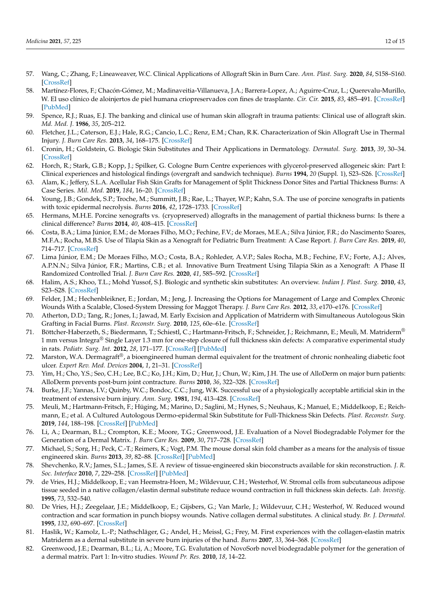- 57. Wang, C.; Zhang, F.; Lineaweaver, W.C. Clinical Applications of Allograft Skin in Burn Care. *Ann. Plast. Surg.* **2020**, *84*, S158–S160. [CrossRef]
- 58. Martínez-Flores, F.; Chacón-Gómez, M.; Madinaveitia-Villanueva, J.A.; Barrera-Lopez, A.; Aguirre-Cruz, L.; Querevalu-Murillo, W. El uso clínico de aloinjertos de piel humana criopreservados con fines de trasplante. *Cir. Cir.* **2015**, *83*, 485–491. [CrossRef] [PubMed]
- 59. Spence, R.J.; Ruas, E.J. The banking and clinical use of human skin allograft in trauma patients: Clinical use of allograft skin. *Md. Med. J.* **1986**, *35*, 205–212.
- 60. Fletcher, J.L.; Caterson, E.J.; Hale, R.G.; Cancio, L.C.; Renz, E.M.; Chan, R.K. Characterization of Skin Allograft Use in Thermal Injury. *J. Burn Care Res.* **2013**, *34*, 168–175. [CrossRef]
- 61. Cronin, H.; Goldstein, G. Biologic Skin Substitutes and Their Applications in Dermatology. *Dermatol. Surg.* **2013**, *39*, 30–34. [CrossRef]
- 62. Horch, R.; Stark, G.B.; Kopp, J.; Spilker, G. Cologne Burn Centre experiences with glycerol-preserved allogeneic skin: Part I: Clinical experiences and histological findings (overgraft and sandwich technique). *Burns* **1994**, *20* (Suppl. 1), S23–S26. [CrossRef]
- 63. Alam, K.; Jeffery, S.L.A. Acellular Fish Skin Grafts for Management of Split Thickness Donor Sites and Partial Thickness Burns: A Case Series. *Mil. Med.* **2019**, *184*, 16–20. [CrossRef]
- 64. Young, J.B.; Gondek, S.P.; Troche, M.; Summitt, J.B.; Rae, L.; Thayer, W.P.; Kahn, S.A. The use of porcine xenografts in patients with toxic epidermal necrolysis. *Burns* **2016**, *42*, 1728–1733. [CrossRef]
- 65. Hermans, M.H.E. Porcine xenografts vs. (cryopreserved) allografts in the management of partial thickness burns: Is there a clinical difference? *Burns* **2014**, *40*, 408–415. [CrossRef]
- 66. Costa, B.A.; Lima Júnior, E.M.; de Moraes Filho, M.O.; Fechine, F.V.; de Moraes, M.E.A.; Silva Júnior, F.R.; do Nascimento Soares, M.F.A.; Rocha, M.B.S. Use of Tilapia Skin as a Xenograft for Pediatric Burn Treatment: A Case Report. *J. Burn Care Res.* **2019**, *40*, 714–717. [CrossRef]
- 67. Lima Júnior, E.M.; De Moraes Filho, M.O.; Costa, B.A.; Rohleder, A.V.P.; Sales Rocha, M.B.; Fechine, F.V.; Forte, A.J.; Alves, A.P.N.N.; Silva Júnior, F.R.; Martins, C.B.; et al. Innovative Burn Treatment Using Tilapia Skin as a Xenograft: A Phase II Randomized Controlled Trial. *J. Burn Care Res.* **2020**, *41*, 585–592. [CrossRef]
- 68. Halim, A.S.; Khoo, T.L.; Mohd Yussof, S.J. Biologic and synthetic skin substitutes: An overview. *Indian J. Plast. Surg.* **2010**, *43*, S23–S28. [CrossRef]
- 69. Felder, J.M.; Hechenbleikner, E.; Jordan, M.; Jeng, J. Increasing the Options for Management of Large and Complex Chronic Wounds With a Scalable, Closed-System Dressing for Maggot Therapy. *J. Burn Care Res.* **2012**, *33*, e170–e176. [CrossRef]
- 70. Atherton, D.D.; Tang, R.; Jones, I.; Jawad, M. Early Excision and Application of Matriderm with Simultaneous Autologous Skin Grafting in Facial Burns. *Plast. Reconstr. Surg.* **2010**, *125*, 60e–61e. [CrossRef]
- 71. Böttcher-Haberzeth, S.; Biedermann, T.; Schiestl, C.; Hartmann-Fritsch, F.; Schneider, J.; Reichmann, E.; Meuli, M. Matriderm® 1 mm versus Integra<sup>®</sup> Single Layer 1.3 mm for one-step closure of full thickness skin defects: A comparative experimental study in rats. *Pediatr. Surg. Int.* **2012**, *28*, 171–177. [CrossRef] [PubMed]
- 72. Marston, W.A. Dermagraft $^{\circ}$ , a bioengineered human dermal equivalent for the treatment of chronic nonhealing diabetic foot ulcer. *Expert Rev. Med. Devices* **2004**, *1*, 21–31. [CrossRef]
- 73. Yim, H.; Cho, Y.S.; Seo, C.H.; Lee, B.C.; Ko, J.H.; Kim, D.; Hur, J.; Chun, W.; Kim, J.H. The use of AlloDerm on major burn patients: AlloDerm prevents post-burn joint contracture. *Burns* **2010**, *36*, 322–328. [CrossRef]
- 74. Burke, J.F.; Yannas, I.V.; Quinby, W.C.; Bondoc, C.C.; Jung, W.K. Successful use of a physiologically acceptable artificial skin in the treatment of extensive burn injury. *Ann. Surg.* **1981**, *194*, 413–428. [CrossRef]
- 75. Meuli, M.; Hartmann-Fritsch, F.; Hüging, M.; Marino, D.; Saglini, M.; Hynes, S.; Neuhaus, K.; Manuel, E.; Middelkoop, E.; Reichmann, E.; et al. A Cultured Autologous Dermo-epidermal Skin Substitute for Full-Thickness Skin Defects. *Plast. Reconstr. Surg.* **2019**, *144*, 188–198. [CrossRef] [PubMed]
- 76. Li, A.; Dearman, B.L.; Crompton, K.E.; Moore, T.G.; Greenwood, J.E. Evaluation of a Novel Biodegradable Polymer for the Generation of a Dermal Matrix. *J. Burn Care Res.* **2009**, *30*, 717–728. [CrossRef]
- 77. Michael, S.; Sorg, H.; Peck, C.-T.; Reimers, K.; Vogt, P.M. The mouse dorsal skin fold chamber as a means for the analysis of tissue engineered skin. *Burns* **2013**, *39*, 82–88. [CrossRef] [PubMed]
- 78. Shevchenko, R.V.; James, S.L.; James, S.E. A review of tissue-engineered skin bioconstructs available for skin reconstruction. *J. R. Soc. Interface* **2010**, *7*, 229–258. [CrossRef] [PubMed]
- 79. de Vries, H.J.; Middelkoop, E.; van Heemstra-Hoen, M.; Wildevuur, C.H.; Westerhof, W. Stromal cells from subcutaneous adipose tissue seeded in a native collagen/elastin dermal substitute reduce wound contraction in full thickness skin defects. *Lab. Investig.* **1995**, *73*, 532–540.
- 80. De Vries, H.J.; Zeegelaar, J.E.; Middelkoop, E.; Gijsbers, G.; Van Marle, J.; Wildevuur, C.H.; Westerhof, W. Reduced wound contraction and scar formation in punch biopsy wounds. Native collagen dermal substitutes. A clinical study. *Br. J. Dermatol.* **1995**, *132*, 690–697. [CrossRef]
- 81. Haslik, W.; Kamolz, L.-P.; Nathschläger, G.; Andel, H.; Meissl, G.; Frey, M. First experiences with the collagen-elastin matrix Matriderm as a dermal substitute in severe burn injuries of the hand. *Burns* **2007**, *33*, 364–368. [CrossRef]
- 82. Greenwood, J.E.; Dearman, B.L.; Li, A.; Moore, T.G. Evalutation of NovoSorb novel biodegradable polymer for the generation of a dermal matrix. Part 1: In-vitro studies. *Wound Pr. Res.* **2010**, *18*, 14–22.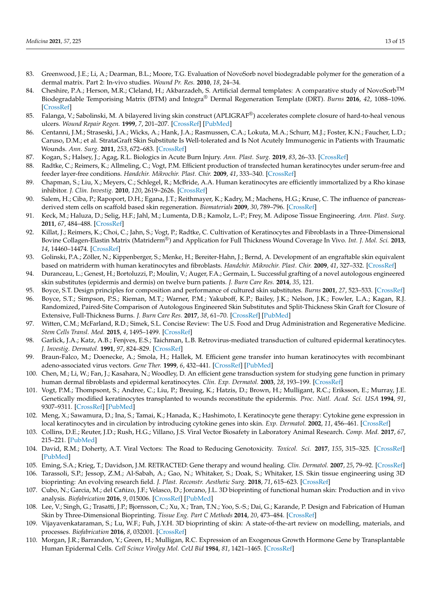- 83. Greenwood, J.E.; Li, A.; Dearman, B.L.; Moore, T.G. Evaluation of NovoSorb novel biodegradable polymer for the generation of a dermal matrix. Part 2: In-vivo studies. *Wound Pr. Res.* **2010**, *18*, 24–34.
- 84. Cheshire, P.A.; Herson, M.R.; Cleland, H.; Akbarzadeh, S. Artificial dermal templates: A comparative study of NovoSorb<sup>TM</sup> Biodegradable Temporising Matrix (BTM) and Integra® Dermal Regeneration Template (DRT). *Burns* **2016**, *42*, 1088–1096. [CrossRef]
- 85. Falanga, V.; Sabolinski, M. A bilayered living skin construct (APLIGRAF®) accelerates complete closure of hard-to-heal venous ulcers. *Wound Repair Regen.* **1999**, *7*, 201–207. [CrossRef] [PubMed]
- 86. Centanni, J.M.; Straseski, J.A.; Wicks, A.; Hank, J.A.; Rasmussen, C.A.; Lokuta, M.A.; Schurr, M.J.; Foster, K.N.; Faucher, L.D.; Caruso, D.M.; et al. StrataGraft Skin Substitute Is Well-tolerated and Is Not Acutely Immunogenic in Patients with Traumatic Wounds. *Ann. Surg.* **2011**, *253*, 672–683. [CrossRef]
- 87. Kogan, S.; Halsey, J.; Agag, R.L. Biologics in Acute Burn Injury. *Ann. Plast. Surg.* **2019**, *83*, 26–33. [CrossRef]
- 88. Radtke, C.; Reimers, K.; Allmeling, C.; Vogt, P.M. Efficient production of transfected human keratinocytes under serum-free and feeder layer-free conditions. *Handchir. Mikrochir. Plast. Chir.* **2009**, *41*, 333–340. [CrossRef]
- 89. Chapman, S.; Liu, X.; Meyers, C.; Schlegel, R.; McBride, A.A. Human keratinocytes are efficiently immortalized by a Rho kinase inhibitor. *J. Clin. Investig.* **2010**, *120*, 2619–2626. [CrossRef]
- 90. Salem, H.; Ciba, P.; Rapoport, D.H.; Egana, J.T.; Reithmayer, K.; Kadry, M.; Machens, H.G.; Kruse, C. The influence of pancreasderived stem cells on scaffold based skin regeneration. *Biomaterials* **2009**, *30*, 789–796. [CrossRef]
- 91. Keck, M.; Haluza, D.; Selig, H.F.; Jahl, M.; Lumenta, D.B.; Kamolz, L.-P.; Frey, M. Adipose Tissue Engineering. *Ann. Plast. Surg.* **2011**, *67*, 484–488. [CrossRef]
- 92. Killat, J.; Reimers, K.; Choi, C.; Jahn, S.; Vogt, P.; Radtke, C. Cultivation of Keratinocytes and Fibroblasts in a Three-Dimensional Bovine Collagen-Elastin Matrix (Matriderm®) and Application for Full Thickness Wound Coverage In Vivo. *Int. J. Mol. Sci.* **2013**, *14*, 14460–14474. [CrossRef]
- 93. Golinski, P.A.; Zöller, N.; Kippenberger, S.; Menke, H.; Bereiter-Hahn, J.; Bernd, A. Development of an engraftable skin equivalent based on matriderm with human keratinocytes and fibroblasts. *Handchir. Mikrochir. Plast. Chir.* **2009**, *41*, 327–332. [CrossRef]
- 94. Duranceau, L.; Genest, H.; Bortoluzzi, P.; Moulin, V.; Auger, F.A.; Germain, L. Successful grafting of a novel autologous engineered skin substitutes (epidermis and dermis) on twelve burn patients. *J. Burn Care Res.* **2014**, *35*, 121.
- 95. Boyce, S.T. Design principles for composition and performance of cultured skin substitutes. *Burns* **2001**, *27*, 523–533. [CrossRef]
- 96. Boyce, S.T.; Simpson, P.S.; Rieman, M.T.; Warner, P.M.; Yakuboff, K.P.; Bailey, J.K.; Nelson, J.K.; Fowler, L.A.; Kagan, R.J. Randomized, Paired-Site Comparison of Autologous Engineered Skin Substitutes and Split-Thickness Skin Graft for Closure of Extensive, Full-Thickness Burns. *J. Burn Care Res.* **2017**, *38*, 61–70. [CrossRef] [PubMed]
- 97. Witten, C.M.; McFarland, R.D.; Simek, S.L. Concise Review: The U.S. Food and Drug Administration and Regenerative Medicine. *Stem Cells Transl. Med.* **2015**, *4*, 1495–1499. [CrossRef]
- 98. Garlick, J.A.; Katz, A.B.; Fenjves, E.S.; Taichman, L.B. Retrovirus-mediated transduction of cultured epidermal keratinocytes. *J. Investig. Dermatol.* **1991**, *97*, 824–829. [CrossRef]
- 99. Braun-Falco, M.; Doenecke, A.; Smola, H.; Hallek, M. Efficient gene transfer into human keratinocytes with recombinant adeno-associated virus vectors. *Gene Ther.* **1999**, *6*, 432–441. [CrossRef] [PubMed]
- 100. Chen, M.; Li, W.; Fan, J.; Kasahara, N.; Woodley, D. An efficient gene transduction system for studying gene function in primary human dermal fibroblasts and epidermal keratinocytes. *Clin. Exp. Dermatol.* **2003**, *28*, 193–199. [CrossRef]
- 101. Vogt, P.M.; Thompsont, S.; Andree, C.; Liu, P.; Breuing, K.; Hatzis, D.; Brown, H.; Mulligant, R.C.; Eriksson, E.; Murray, J.E. Genetically modified keratinocytes transplanted to wounds reconstitute the epidermis. *Proc. Natl. Acad. Sci. USA* **1994**, *91*, 9307–9311. [CrossRef] [PubMed]
- 102. Meng, X.; Sawamura, D.; Ina, S.; Tamai, K.; Hanada, K.; Hashimoto, I. Keratinocyte gene therapy: Cytokine gene expression in local keratinocytes and in circulation by introducing cytokine genes into skin. *Exp. Dermatol.* **2002**, *11*, 456–461. [CrossRef]
- 103. Collins, D.E.; Reuter, J.D.; Rush, H.G.; Villano, J.S. Viral Vector Biosafety in Laboratory Animal Research. *Comp. Med.* **2017**, *67*, 215–221. [PubMed]
- 104. David, R.M.; Doherty, A.T. Viral Vectors: The Road to Reducing Genotoxicity. *Toxicol. Sci.* **2017**, *155*, 315–325. [CrossRef] [PubMed]
- 105. Eming, S.A.; Krieg, T.; Davidson, J.M. RETRACTED: Gene therapy and wound healing. *Clin. Dermatol.* **2007**, *25*, 79–92. [CrossRef]
- 106. Tarassoli, S.P.; Jessop, Z.M.; Al-Sabah, A.; Gao, N.; Whitaker, S.; Doak, S.; Whitaker, I.S. Skin tissue engineering using 3D bioprinting: An evolving research field. *J. Plast. Reconstr. Aesthetic Surg.* **2018**, *71*, 615–623. [CrossRef]
- 107. Cubo, N.; Garcia, M.; del Cañizo, J.F.; Velasco, D.; Jorcano, J.L. 3D bioprinting of functional human skin: Production and in vivo analysis. *Biofabrication* **2016**, *9*, 015006. [CrossRef] [PubMed]
- 108. Lee, V.; Singh, G.; Trasatti, J.P.; Bjornsson, C.; Xu, X.; Tran, T.N.; Yoo, S.-S.; Dai, G.; Karande, P. Design and Fabrication of Human Skin by Three-Dimensional Bioprinting. *Tissue Eng. Part C Methods* **2014**, *20*, 473–484. [CrossRef]
- 109. Vijayavenkataraman, S.; Lu, W.F.; Fuh, J.Y.H. 3D bioprinting of skin: A state-of-the-art review on modelling, materials, and processes. *Biofabrication* **2016**, *8*, 032001. [CrossRef]
- 110. Morgan, J.R.; Barrandon, Y.; Green, H.; Mulligan, R.C. Expression of an Exogenous Growth Hormone Gene by Transplantable Human Epidermal Cells. *Cell Scince Virolgy Mol. CeU Bid* **1984**, *81*, 1421–1465. [CrossRef]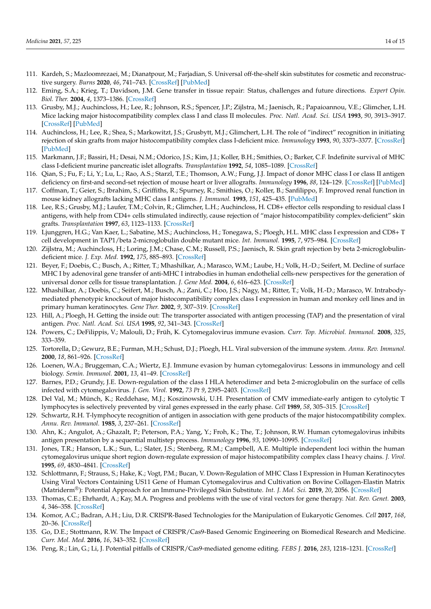- 111. Kardeh, S.; Mazloomrezaei, M.; Dianatpour, M.; Farjadian, S. Universal off-the-shelf skin substitutes for cosmetic and reconstructive surgery. *Burns* **2020**, *46*, 741–743. [CrossRef] [PubMed]
- 112. Eming, S.A.; Krieg, T.; Davidson, J.M. Gene transfer in tissue repair: Status, challenges and future directions. *Expert Opin. Biol. Ther.* **2004**, *4*, 1373–1386. [CrossRef]
- 113. Grusby, M.J.; Auchincloss, H.; Lee, R.; Johnson, R.S.; Spencer, J.P.; Zijlstra, M.; Jaenisch, R.; Papaioannou, V.E.; Glimcher, L.H. Mice lacking major histocompatibility complex class I and class II molecules. *Proc. Natl. Acad. Sci. USA* **1993**, *90*, 3913–3917. [CrossRef] [PubMed]
- 114. Auchincloss, H.; Lee, R.; Shea, S.; Markowitzt, J.S.; Grusbytt, M.J.; Glimchert, L.H. The role of "indirect" recognition in initiating rejection of skin grafts from major histocompatibility complex class I-deficient mice. *Immunology* **1993**, *90*, 3373–3377. [CrossRef] [PubMed]
- 115. Markmann, J.F.; Bassiri, H.; Desai, N.M.; Odorico, J.S.; Kim, J.I.; Koller, B.H.; Smithies, O.; Barker, C.F. Indefinite survival of MHC class I-deficient murine pancreatic islet allografts. *Transplantation* **1992**, *54*, 1085–1089. [CrossRef]
- 116. Qian, S.; Fu, F.; Li, Y.; Lu, L.; Rao, A.S.; Starzl, T.E.; Thomson, A.W.; Fung, J.J. Impact of donor MHC class I or class II antigen deficiency on first-and second-set rejection of mouse heart or liver allografts. *Immunology* **1996**, *88*, 124–129. [CrossRef] [PubMed]
- 117. Coffman, T.; Geier, S.; Ibrahim, S.; Griffiths, R.; Spurney, R.; Smithies, O.; Koller, B.; Sanfilippo, F. Improved renal function in mouse kidney allografts lacking MHC class I antigens. *J. Immunol.* **1993**, *151*, 425–435. [PubMed]
- 118. Lee, R.S.; Grusby, M.J.; Laufer, T.M.; Colvin, R.; Glimcher, L.H.; Auchincloss, H. CD8+ effector cells responding to residual class I antigens, with help from CD4+ cells stimulated indirectly, cause rejection of "major histocompatibility complex-deficient" skin grafts. *Transplantation* **1997**, *63*, 1123–1133. [CrossRef]
- 119. Ljunggren, H.G.; Van Kaer, L.; Sabatine, M.S.; Auchincloss, H.; Tonegawa, S.; Ploegh, H.L. MHC class I expression and CD8+ T cell development in TAP1/beta 2-microglobulin double mutant mice. *Int. Immunol.* **1995**, *7*, 975–984. [CrossRef]
- 120. Zijlstra, M.; Auchincloss, H.; Loring, J.M.; Chase, C.M.; Russell, P.S.; Jaenisch, R. Skin graft rejection by beta 2-microglobulindeficient mice. *J. Exp. Med.* **1992**, *175*, 885–893. [CrossRef]
- 121. Beyer, F.; Doebis, C.; Busch, A.; Ritter, T.; Mhashilkar, A.; Marasco, W.M.; Laube, H.; Volk, H.-D.; Seifert, M. Decline of surface MHC I by adenoviral gene transfer of anti-MHC I intrabodies in human endothelial cells-new perspectives for the generation of universal donor cells for tissue transplantation. *J. Gene Med.* **2004**, *6*, 616–623. [CrossRef]
- 122. Mhashilkar, A.; Doebis, C.; Seifert, M.; Busch, A.; Zani, C.; Hoo, J.S.; Nagy, M.; Ritter, T.; Volk, H.-D.; Marasco, W. Intrabodymediated phenotypic knockout of major histocompatibility complex class I expression in human and monkey cell lines and in primary human keratinocytes. *Gene Ther.* **2002**, *9*, 307–319. [CrossRef]
- 123. Hill, A.; Ploegh, H. Getting the inside out: The transporter associated with antigen processing (TAP) and the presentation of viral antigen. *Proc. Natl. Acad. Sci. USA* **1995**, *92*, 341–343. [CrossRef]
- 124. Powers, C.; DeFilippis, V.; Malouli, D.; Früh, K. Cytomegalovirus immune evasion. *Curr. Top. Microbiol. Immunol.* **2008**, *325*, 333–359.
- 125. Tortorella, D.; Gewurz, B.E.; Furman, M.H.; Schust, D.J.; Ploegh, H.L. Viral subversion of the immune system. *Annu. Rev. Immunol.* **2000**, *18*, 861–926. [CrossRef]
- 126. Loenen, W.A.; Bruggeman, C.A.; Wiertz, E.J. Immune evasion by human cytomegalovirus: Lessons in immunology and cell biology. *Semin. Immunol.* **2001**, *13*, 41–49. [CrossRef]
- 127. Barnes, P.D.; Grundy, J.E. Down-regulation of the class I HLA heterodimer and beta 2-microglobulin on the surface of cells infected with cytomegalovirus. *J. Gen. Virol.* **1992**, *73 Pt 9*, 2395–2403. [CrossRef]
- 128. Del Val, M.; Münch, K.; Reddehase, M.J.; Koszinowski, U.H. Presentation of CMV immediate-early antigen to cytolytic T lymphocytes is selectively prevented by viral genes expressed in the early phase. *Cell* **1989**, *58*, 305–315. [CrossRef]
- 129. Schwartz, R.H. T-lymphocyte recognition of antigen in association with gene products of the major histocompatibility complex. *Annu. Rev. Immunol.* **1985**, *3*, 237–261. [CrossRef]
- 130. Ahn, K.; Angulot, A.; Ghazalt, P.; Peterson, P.A.; Yang, Y.; Froh, K.; The, T.; Johnson, R.W. Human cytomegalovirus inhibits antigen presentation by a sequential multistep process. *Immunology* **1996**, *93*, 10990–10995. [CrossRef]
- 131. Jones, T.R.; Hanson, L.K.; Sun, L.; Slater, J.S.; Stenberg, R.M.; Campbell, A.E. Multiple independent loci within the human cytomegalovirus unique short region down-regulate expression of major histocompatibility complex class I heavy chains. *J. Virol.* **1995**, *69*, 4830–4841. [CrossRef]
- 132. Schlottmann, F.; Strauss, S.; Hake, K.; Vogt, P.M.; Bucan, V. Down-Regulation of MHC Class I Expression in Human Keratinocytes Using Viral Vectors Containing US11 Gene of Human Cytomegalovirus and Cultivation on Bovine Collagen-Elastin Matrix (Matriderm®): Potential Approach for an Immune-Privileged Skin Substitute. *Int. J. Mol. Sci.* **2019**, *20*, 2056. [CrossRef]
- 133. Thomas, C.E.; Ehrhardt, A.; Kay, M.A. Progress and problems with the use of viral vectors for gene therapy. *Nat. Rev. Genet.* **2003**, *4*, 346–358. [CrossRef]
- 134. Komor, A.C.; Badran, A.H.; Liu, D.R. CRISPR-Based Technologies for the Manipulation of Eukaryotic Genomes. *Cell* **2017**, *168*, 20–36. [CrossRef]
- 135. Go, D.E.; Stottmann, R.W. The Impact of CRISPR/Cas9-Based Genomic Engineering on Biomedical Research and Medicine. *Curr. Mol. Med.* **2016**, *16*, 343–352. [CrossRef]
- 136. Peng, R.; Lin, G.; Li, J. Potential pitfalls of CRISPR/Cas9-mediated genome editing. *FEBS J.* **2016**, *283*, 1218–1231. [CrossRef]